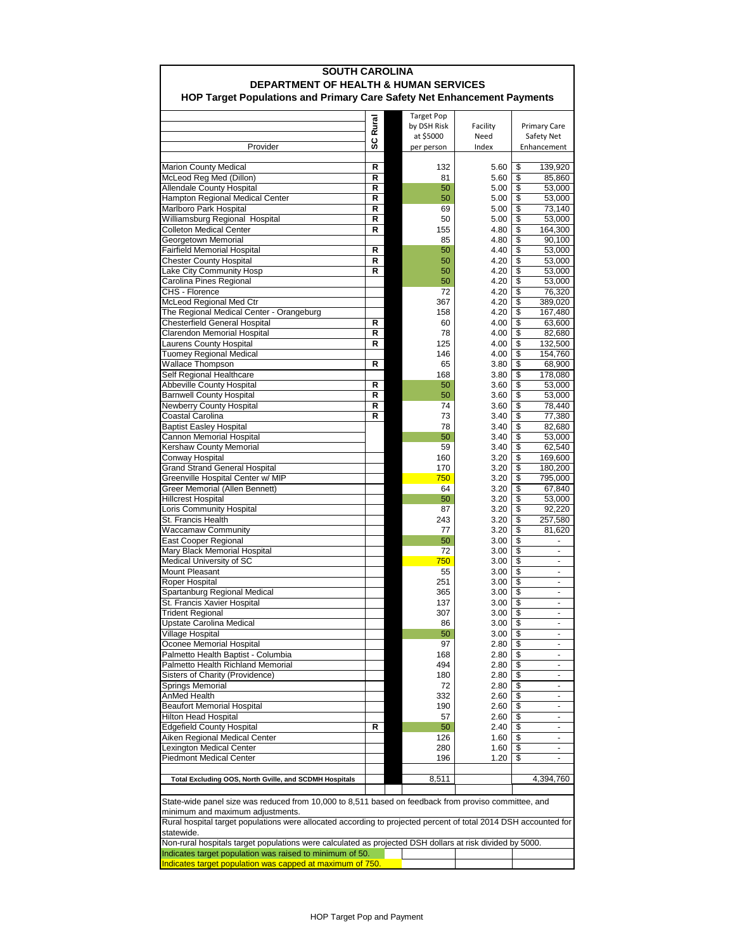| <b>SOUTH CAROLINA</b>                                                                                                                    |        |  |                                  |              |                                             |
|------------------------------------------------------------------------------------------------------------------------------------------|--------|--|----------------------------------|--------------|---------------------------------------------|
| <b>DEPARTMENT OF HEALTH &amp; HUMAN SERVICES</b><br>HOP Target Populations and Primary Care Safety Net Enhancement Payments              |        |  |                                  |              |                                             |
|                                                                                                                                          |        |  |                                  |              |                                             |
|                                                                                                                                          | Rural  |  | <b>Target Pop</b><br>by DSH Risk | Facility     | <b>Primary Care</b>                         |
|                                                                                                                                          |        |  | at \$5000                        | Need         | Safety Net                                  |
| Provider                                                                                                                                 | ပ္တ    |  | per person                       | Index        | Enhancement                                 |
| <b>Marion County Medical</b>                                                                                                             | R      |  | 132                              | 5.60         | \$<br>139,920                               |
| McLeod Reg Med (Dillon)                                                                                                                  | R      |  | 81                               | 5.60         | \$<br>85,860                                |
| <b>Allendale County Hospital</b>                                                                                                         | R      |  | 50                               | 5.00         | \$<br>53,000                                |
| Hampton Regional Medical Center                                                                                                          | R<br>R |  | 50                               | 5.00         | \$<br>53,000<br>\$                          |
| Marlboro Park Hospital<br>Williamsburg Regional Hospital                                                                                 | R      |  | 69<br>50                         | 5.00<br>5.00 | 73,140<br>\$<br>53,000                      |
| <b>Colleton Medical Center</b>                                                                                                           | R      |  | 155                              | 4.80         | \$<br>164,300                               |
| Georgetown Memorial                                                                                                                      |        |  | 85                               | 4.80         | \$<br>90,100                                |
| <b>Fairfield Memorial Hospital</b>                                                                                                       | R      |  | 50                               | 4.40         | \$<br>53,000                                |
| <b>Chester County Hospital</b><br>Lake City Community Hosp                                                                               | R<br>R |  | 50<br>50                         | 4.20<br>4.20 | \$<br>53,000<br>\$<br>53,000                |
| Carolina Pines Regional                                                                                                                  |        |  | 50                               | 4.20         | \$<br>53,000                                |
| CHS - Florence                                                                                                                           |        |  | 72                               | 4.20         | \$<br>76,320                                |
| McLeod Regional Med Ctr                                                                                                                  |        |  | 367                              | 4.20         | \$<br>389,020                               |
| The Regional Medical Center - Orangeburg<br>Chesterfield General Hospital                                                                | R      |  | 158<br>60                        | 4.20<br>4.00 | \$<br>167,480<br>\$<br>63,600               |
| Clarendon Memorial Hospital                                                                                                              | R      |  | 78                               | 4.00         | \$<br>82,680                                |
| Laurens County Hospital                                                                                                                  | R      |  | 125                              | 4.00         | \$<br>132,500                               |
| Tuomey Regional Medical                                                                                                                  |        |  | 146                              | 4.00         | \$<br>154,760                               |
| <b>Wallace Thompson</b><br>Self Regional Healthcare                                                                                      | R      |  | 65<br>168                        | 3.80<br>3.80 | \$<br>68,900<br>\$<br>178,080               |
| Abbeville County Hospital                                                                                                                | R      |  | 50                               | 3.60         | \$<br>53,000                                |
| <b>Barnwell County Hospital</b>                                                                                                          | R      |  | 50                               | 3.60         | \$<br>53,000                                |
| Newberry County Hospital                                                                                                                 | R      |  | 74                               | 3.60         | \$<br>78,440                                |
| Coastal Carolina<br><b>Baptist Easley Hospital</b>                                                                                       | R      |  | 73<br>78                         | 3.40<br>3.40 | \$<br>77,380<br>\$<br>82,680                |
| Cannon Memorial Hospital                                                                                                                 |        |  | 50                               | 3.40         | \$<br>53,000                                |
| Kershaw County Memorial                                                                                                                  |        |  | 59                               | 3.40         | \$<br>62,540                                |
| Conway Hospital                                                                                                                          |        |  | 160                              | 3.20         | \$<br>169,600                               |
| <b>Grand Strand General Hospital</b><br>Greenville Hospital Center w/ MIP                                                                |        |  | 170<br>750                       | 3.20<br>3.20 | \$<br>180,200<br>\$<br>795,000              |
| Greer Memorial (Allen Bennett)                                                                                                           |        |  | 64                               | 3.20         | \$<br>67,840                                |
| <b>Hillcrest Hospital</b>                                                                                                                |        |  | 50                               | 3.20         | \$<br>53,000                                |
| Loris Community Hospital                                                                                                                 |        |  | 87                               | 3.20         | \$<br>92,220                                |
| St. Francis Health<br><b>Waccamaw Community</b>                                                                                          |        |  | 243<br>77                        | 3.20<br>3.20 | \$<br>257,580<br>\$<br>81,620               |
| East Cooper Regional                                                                                                                     |        |  | 50                               | 3.00         | \$                                          |
| Mary Black Memorial Hospital                                                                                                             |        |  | 72                               | 3.00         | \$                                          |
| Medical University of SC                                                                                                                 |        |  | 750                              | 3.00         | \$<br>$\frac{1}{2}$                         |
| Mount Pleasant<br>Roper Hospital                                                                                                         |        |  | 55<br>251                        | 3.00<br>3.00 | \$<br>$\frac{1}{2}$<br>\$<br>$\blacksquare$ |
| Spartanburg Regional Medical                                                                                                             |        |  | 365                              | 3.00         | \$<br>$\frac{1}{2}$                         |
| St. Francis Xavier Hospital                                                                                                              |        |  | 137                              | 3.00         | $\overline{\$}$                             |
| <b>Trident Regional</b>                                                                                                                  |        |  | 307                              | 3.00         | $\overline{\mathcal{S}}$<br>$\blacksquare$  |
| Upstate Carolina Medical<br>Village Hospital                                                                                             |        |  | 86<br>50                         | 3.00<br>3.00 | \$<br>\$                                    |
| Oconee Memorial Hospital                                                                                                                 |        |  | 97                               | 2.80         | \$<br>$\frac{1}{2}$                         |
| Palmetto Health Baptist - Columbia                                                                                                       |        |  | 168                              | 2.80         | \$<br>$\frac{1}{2}$                         |
| Palmetto Health Richland Memorial                                                                                                        |        |  | 494                              | 2.80         | \$<br>$\blacksquare$                        |
| Sisters of Charity (Providence)<br>Springs Memorial                                                                                      |        |  | 180                              | 2.80         | \$<br>۰                                     |
| AnMed Health                                                                                                                             |        |  | 72<br>332                        | 2.80<br>2.60 | \$<br>-<br>\$                               |
| <b>Beaufort Memorial Hospital</b>                                                                                                        |        |  | 190                              | 2.60         | \$<br>$\blacksquare$                        |
| Hilton Head Hospital                                                                                                                     |        |  | 57                               | 2.60         | \$                                          |
| <b>Edgefield County Hospital</b>                                                                                                         | R      |  | 50<br>126                        | 2.40         | \$<br>\$<br>$\overline{\phantom{a}}$        |
| Aiken Regional Medical Center<br>Lexington Medical Center                                                                                |        |  | 280                              | 1.60<br>1.60 | \$<br>$\overline{\phantom{a}}$              |
| <b>Piedmont Medical Center</b>                                                                                                           |        |  | 196                              | 1.20         | \$                                          |
|                                                                                                                                          |        |  |                                  |              |                                             |
| Total Excluding OOS, North Gville, and SCDMH Hospitals                                                                                   |        |  | 8,511                            |              | 4,394,760                                   |
|                                                                                                                                          |        |  |                                  |              |                                             |
| State-wide panel size was reduced from 10,000 to 8,511 based on feedback from proviso committee, and<br>minimum and maximum adjustments. |        |  |                                  |              |                                             |
| Rural hospital target populations were allocated according to projected percent of total 2014 DSH accounted for                          |        |  |                                  |              |                                             |
| statewide.<br>Non-rural hospitals target populations were calculated as projected DSH dollars at risk divided by 5000.                   |        |  |                                  |              |                                             |
| Indicates target population was raised to minimum of 50.                                                                                 |        |  |                                  |              |                                             |
| Indicates target population was capped at maximum of 750                                                                                 |        |  |                                  |              |                                             |